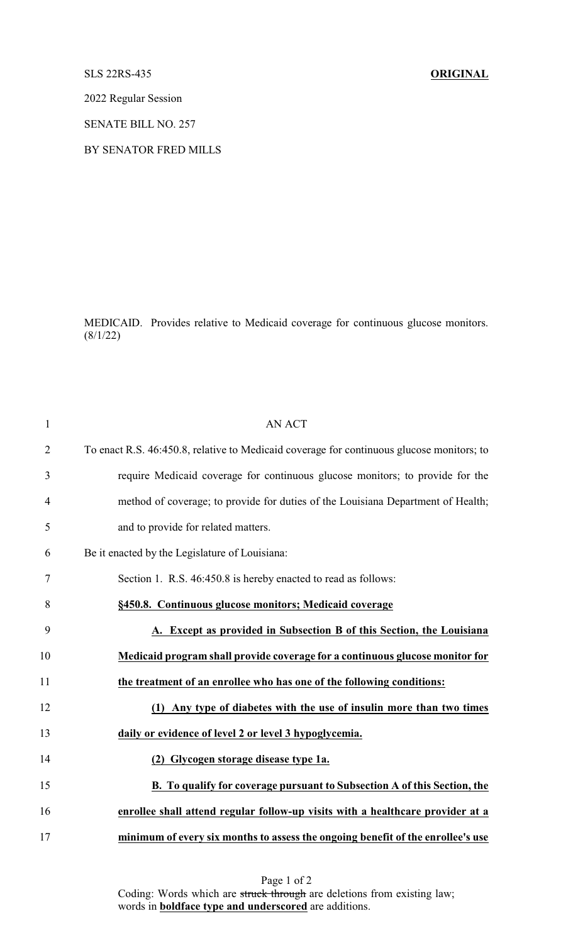## SLS 22RS-435 **ORIGINAL**

2022 Regular Session

SENATE BILL NO. 257

## BY SENATOR FRED MILLS

MEDICAID. Provides relative to Medicaid coverage for continuous glucose monitors.  $(8/1/22)$ 

| $\mathbf{1}$   | <b>AN ACT</b>                                                                             |
|----------------|-------------------------------------------------------------------------------------------|
| $\overline{2}$ | To enact R.S. 46:450.8, relative to Medicaid coverage for continuous glucose monitors; to |
| 3              | require Medicaid coverage for continuous glucose monitors; to provide for the             |
| 4              | method of coverage; to provide for duties of the Louisiana Department of Health;          |
| 5              | and to provide for related matters.                                                       |
| 6              | Be it enacted by the Legislature of Louisiana:                                            |
| 7              | Section 1. R.S. 46:450.8 is hereby enacted to read as follows:                            |
| 8              | §450.8. Continuous glucose monitors; Medicaid coverage                                    |
| 9              | A. Except as provided in Subsection B of this Section, the Louisiana                      |
| 10             | Medicaid program shall provide coverage for a continuous glucose monitor for              |
| 11             | the treatment of an enrollee who has one of the following conditions:                     |
| 12             | (1) Any type of diabetes with the use of insulin more than two times                      |
| 13             | daily or evidence of level 2 or level 3 hypoglycemia.                                     |
| 14             | (2) Glycogen storage disease type 1a.                                                     |
| 15             | B. To qualify for coverage pursuant to Subsection A of this Section, the                  |
| 16             | enrollee shall attend regular follow-up visits with a healthcare provider at a            |
| 17             | minimum of every six months to assess the ongoing benefit of the enrollee's use           |

Page 1 of 2 Coding: Words which are struck through are deletions from existing law; words in **boldface type and underscored** are additions.